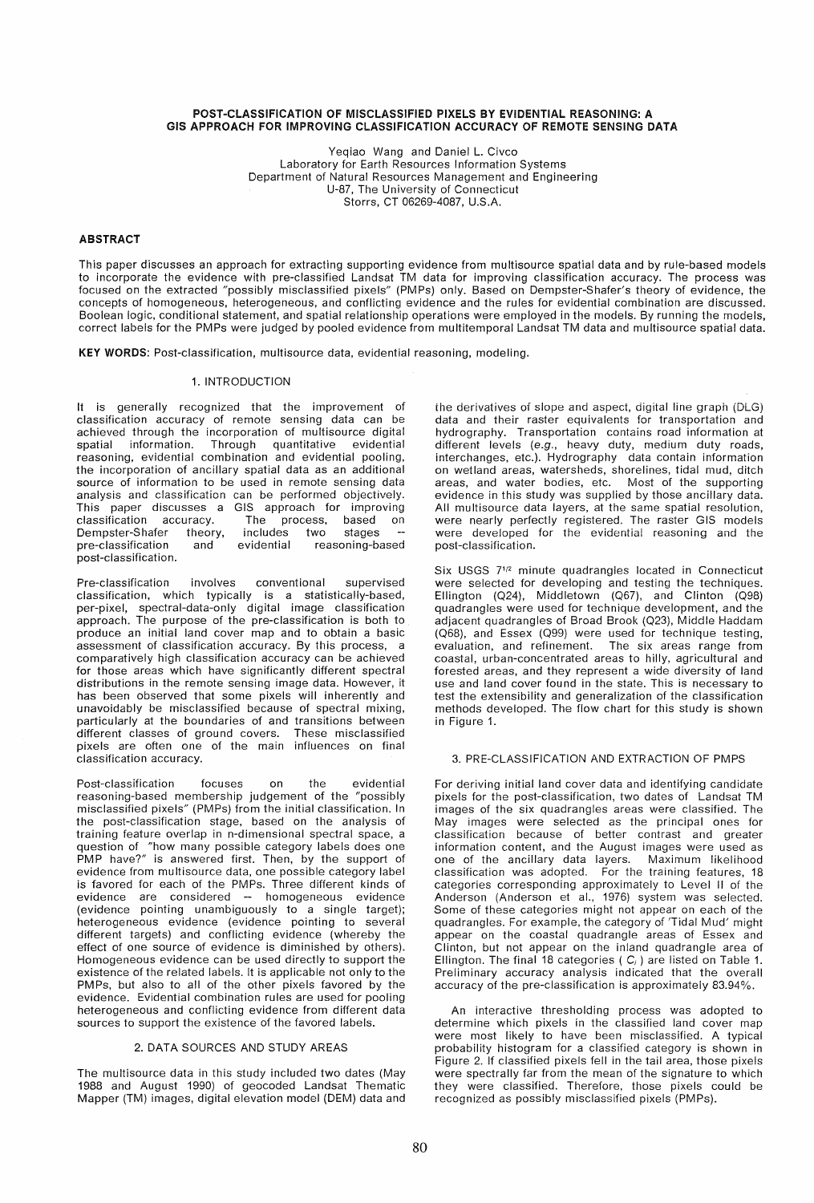### POST-CLASSIFICATION OF MISCLASSIFIED PIXELS BY EVIDENTIAL REASONING: A GIS APPROACH FOR IMPROVING CLASSIFICATION ACCURACY OF REMOTE SENSING DATA

Yeqiao Wang and Daniel L. Civco Laboratory for Earth Resources Information Systems Department of Natural Resources Management and Engineering U-87, The University of Connecticut Storrs, CT 06269-4087, U.S.A.

# ABSTRACT

This paper discusses an approach for extracting supporting evidence from multisource spatial data and by rule-based models to incorporate the evidence with pre-classified Landsat TM data for improving classification accuracy. The process was focused on the extracted "possibly misclassified pixels" (PMPs) only. Based on Dempster-Shafer's theory of evidence, the concepts of homogeneous, heterogeneous. and conflicting evidence and the rules for evidential combination are discussed. Boolean logic, conditional statement, and spatial relationship operations were employed in the models. By running the models, correct labels for the PMPs were judged by pooled evidence from multitemporal Landsat TM data and multisource spatial data.

KEY WORDS: Post-classification, multisource data, evidential reasoning, modeling.

## 1. INTRODUCTION

It is generally recognized that the improvement of classification accuracy of remote sensing data can be achieved through the incorporation of multisource digital<br>spatial information. Through quantitative evidential spatial information. Through quantitative reasoning, evidential combination and evidential pooling, the incorporation of ancillary spatial data as an additional source of information to be used in remote sensing data analysis and classification can be performed objectively. This paper discusses a GIS approach for improving classification accuracy. The process, based on<br>Dempster-Shafer theory, includes two stages – Dempster-Shafer theory, includes<br>pre-classification and evidential reasoning-based post-classification.

Pre-classification involves conventional supervised classification, which typically is a statistically-based, per-pixel, spectral-data-only digital image classification approach. The purpose of the pre-classification is both to produce an initial land cover map and to obtain a basic assessment of classification accuracy. By this process, a comparatively high classification accuracy can be achieved for those areas which have significantly different spectral distributions in the remote sensing image data. However, it has been observed that some pixels will inherently and unavoidably be misclassified because of spectral mixing, particularly at the boundaries of and transitions between different classes of ground covers. These misclassified pixels are often one of the main influences on final .<br>classification accuracy.

Post-classification focuses on the evidential reasoning-based membership judgement of the "possibly misclassified pixels" (PMPs) from the initial classification. In the post-classification stage, based on the analysis of training feature overlap in n-dimensional spectral space, a question of "how many possible category labels does one PMP have?" is answered first. Then, by the support of evidence from multisource data, one possible category label is favored for each of the PMPs. Three different kinds of evidence are considered -- homogeneous evidence (evidence pointing unambiguously to a single target); heterogeneous evidence (evidence pointing to several different targets) and conflicting evidence (whereby the effect of one source of evidence is diminished by others). Homogeneous evidence can be used directly to support the existence of the related labels. It is applicable not only to the PMPs, but also to all of the other pixels favored by the evidence. Evidential combination rules are used for pooling heterogeneous and conflicting evidence from different data sources to support the existence of the favored labels.

### 2. DATA SOURCES AND STUDY AREAS

The multisource data in this study included two dates (May 1988 and August 1990) of geocoded Landsat Thematic Mapper (TM) images, digital elevation model (DEM) data and the derivatives of slope and aspect, digital line graph (DLG) data and their raster equivalents for transportation and hydrography. Transportation contains road information at different levels (e.g., heavy duty, medium duty roads, interchanges, etc.). Hydrography data contain information on wetland areas, watersheds, shorelines, tidal mud, ditch areas, and water bodies, etc. Most of the supporting evidence in this study was supplied by those ancillary data. All multisource data layers, at the same spatial resolution, were nearly perfectly registered. The raster GIS models were developed for the evidential reasoning and the post-classification.

Six USGS *7*1/2 minute quadrangles located in Connecticut were selected for developing and testing the techniques. Ellington (024), Middletown (067), and Clinton (098) quadrangles were used for technique development, and the adjacent quadrangles of Broad Brook (023), Middle Haddam (068), and Essex (099) were used for technique testing, evaluation, and refinement. The six areas range from coastal, urban-concentrated areas to hilly, agricultural and forested areas, and they represent a wide diversity of land use and land cover found in the state. This is necessary to test the extensibility and generalization of the classification methods developed. The flow chart for this study is shown in Figure 1.

## 3. PRE-CLASSIFICATION AND EXTRACTION OF PMPS

For deriving initial land cover data and identifying candidate pixels for the post-classification, two dates of Landsat TM images of the six quadrangles areas were classified. The May images were selected as the principal ones for classification because of better contrast and greater information content, and the August images were used as one of the ancillary data layers. Maximum likelihood classification was adopted. For the training features, 18 categories corresponding approximately to Level II of the Anderson (Anderson et aI., 1976) system was selected. Some of these categories might not appear on each of the quadrangles. For example, the category of 'Tidal Mud' might appear on the coastal quadrangle areas of Essex and Clinton, but not appear on the inland quadrangle area of Ellington. The final 18 categories ( $C_i$ ) are listed on Table 1. Preliminary accuracy analysis indicated that the overall accuracy of the pre-classification is approximately 83.94%.

An interactive thresholding process was adopted to determine which pixels in the classified land cover map were most likely to have been misclassified. A typical probability histogram for a classified category is shown in Figure 2. If classified pixels fell in the tail area, those pixels were spectrally far from the mean of the signature to which they were classified. Therefore, those pixels could be recognized as possibly misclassified pixels (PMPs).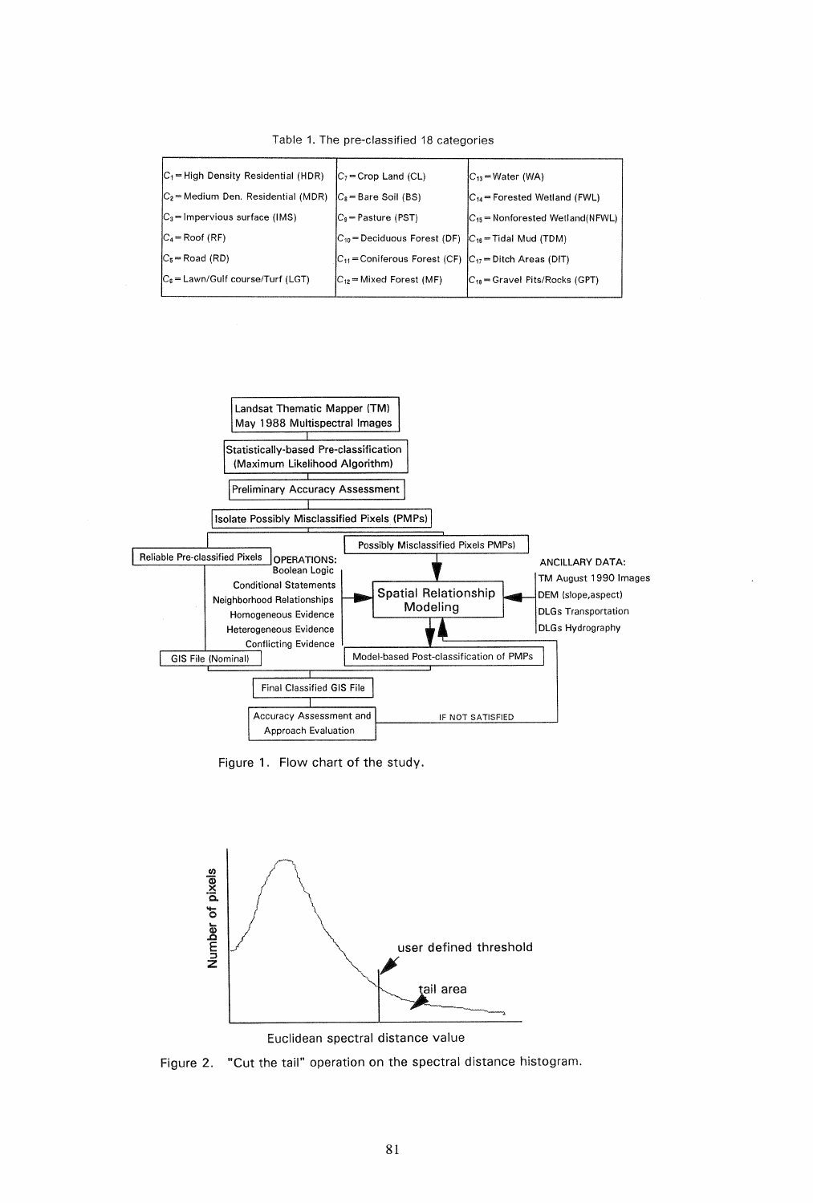| $ C_1 $ High Density Residential (HDR) | $ C_7 $ Crop Land (CL)                                             | $ C_{13}$ = Water (WA)                |
|----------------------------------------|--------------------------------------------------------------------|---------------------------------------|
| $ C_2 $ Medium Den. Residential (MDR)  | $ C_8 $ = Bare Soil (BS)                                           | $C_{14}$ = Forested Wetland (FWL)     |
| $C_3$ = Impervious surface (IMS)       | $ C_9 $ Pasture (PST)                                              | $ C_{15}$ = Nonforested Wetland(NFWL) |
| $ C_4 $ Roof (RF)                      | $ C_{10}$ = Deciduous Forest (DF) $ C_{16}$ = Tidal Mud (TDM)      |                                       |
| $C_5$ = Road (RD)                      | $ C_{11} $ = Coniferous Forest (CF) $ C_{17} $ = Ditch Areas (DIT) |                                       |
| $ C_6 $ = Lawn/Gulf course/Turf (LGT)  | $ C_{12}$ = Mixed Forest (MF)                                      | $ C_{18}$ = Gravel Pits/Rocks (GPT)   |
|                                        |                                                                    |                                       |

Table 1. The pre-classified 18 categories



Figure 1. Flow chart of the study.



Euclidean spectral distance value

Figure 2. "Cut the tail" operation on the spectral distance histogram.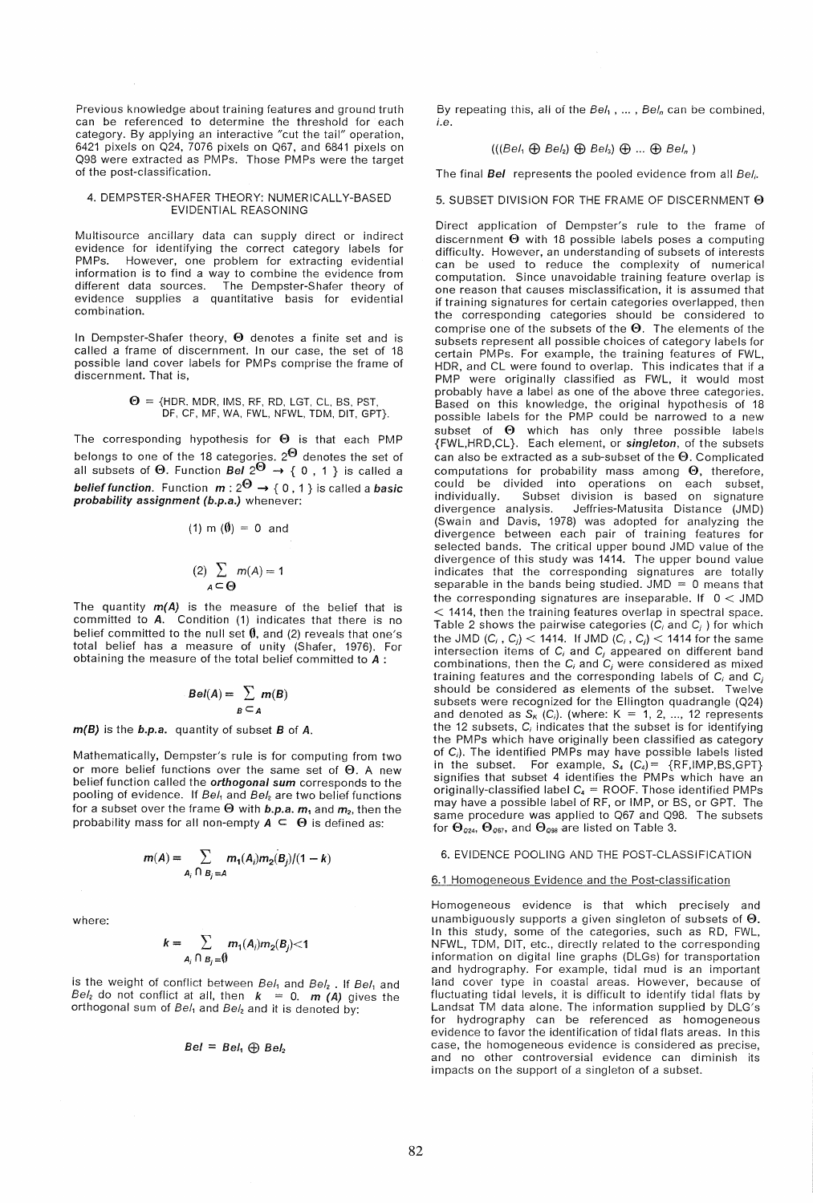Previous knowledge about training features and ground truth can be referenced to determine the threshold for each category. By applying an interactive "cut the tail" operation, 6421 pixels on 024, 7076 pixels on 067, and 6841 pixels on Q98 were extracted as PMPs. Those PMPs were the target of the post-classification.

# 4. DEMPSTER-SHAFER THEORY: NUMERICALLY-BASED EVIDENTIAL REASONING

Multisource ancillary data can supply direct or indirect evidence for identifying the correct category labels for PMPs. However, one problem for extracting evidential information is to find a way to combine the evidence from different data sources. The Dempster-Shafer theory of evidence supplies a quantitative basis for evidential combination.

In Dempster-Shafer theory,  $\Theta$  denotes a finite set and is called a frame of discernment. In our case, the set of 18 possible land cover labels for PMPs comprise the frame of discernment. That is,

$$
\Theta = \{ \text{HDR, MDR, IMS, RF, RD, LGT, CL, BS, PST, DF, CF, MR, WA, FWL, NFWL, TDM, DIT, GFP.} \}
$$

The corresponding hypothesis for  $\Theta$  is that each PMP belongs to one of the 18 categories. 2 $\Theta$  denotes the set of all subsets of  $\Theta$ . Function Bel 2 $\Theta \rightarrow \{ 0$  , 1 } is called a belief function. Function  $m: 2^{\Theta} \rightarrow \{0, 1\}$  is called a basic probability assignment (b.p.a.) whenever:

(1) m (
$$
\theta
$$
) = 0 and  
(2)  $\sum_{A \subseteq \Theta} m(A) = 1$ 

The quantity  $m(A)$  is the measure of the belief that is committed to A. Condition (1) indicates that there is no belief committed to the null set  $\emptyset$ , and (2) reveals that one's total belief has a measure of unity (Shafer, 1976). For obtaining the measure of the total belief committed to A :

$$
Bel(A) = \sum_{B \subseteq A} m(B)
$$

m(B) is the b.p.a. quantity of subset B of A.

Mathematically, Dempster's rule is for computing from two or more belief functions over the same set of  $\Theta$ . A new belief function called the *orthogonal* sum corresponds to the pooling of evidence. If  $Bel_1$  and  $Bel_2$  are two belief functions for a subset over the frame  $\Theta$  with b.p.a.  $m_1$  and  $m_2$ , then the probability mass for all non-empty  $A \subseteq \Theta$  is defined as:

$$
m(A) = \sum_{A_i \cap B_j = A} m_1(A_i) m_2(B_j)/(1 - k)
$$

where:

$$
k=\sum_{A_i\cap B_j=\emptyset}m_1(A_i)m_2(B_j)<1
$$

is the weight of conflict between  $Bel_1$  and  $Bel_2$ . If  $Bel_1$  and Bel<sub>2</sub> do not conflict at all, then  $k = 0$ . **m** (A) gives the orthogonal sum of  $Bel<sub>1</sub>$  and  $Bel<sub>2</sub>$  and it is denoted by:

$$
Bel = Bel_1 \oplus Bel_2
$$

By repeating this, all of the Bel<sub>1</sub>, ..., Bel<sub>n</sub> can be combined, i.e.

# $(((Bel_1 \bigoplus Bel_2) \bigoplus Bel_3) \bigoplus ... \bigoplus Bel_n)$

The final Bel represents the pooled evidence from all Bel<sub>i</sub>.

# 5. SUBSET DIVISION FOR THE FRAME OF DISCERNMENT  $\Theta$

Direct application of Dempster's rule to the frame of discernment  $\Theta$  with 18 possible labels poses a computing difficulty. However, an understanding of subsets of interests can be used to reduce the complexity of numerical computation. Since unavoidable training feature overlap is one reason that causes misclassification, it is assu med that if training signatures for certain categories overlapped, then the corresponding categories should be considered to comprise one of the subsets of the  $\Theta$ . The elements of the subsets represent all possible choices of category labels for certain PMPs. For example, the training features of FWL, HDR, and CL were found to overlap. This indicates that if a PMP were originally classified as FWL, it would most probably have a label as one of the above three categories. Based on this knowledge, the original hypothesis of 18 possible labels for the PMP could be narrowed to a new subset of  $\Theta$  which has only three possible labels {FWL,HRD,CL}. Each element, or singleton, of the subsets can also be extracted as a sub-subset of the  $\Theta$ . Complicated computations for probability mass among  $\Theta$ , therefore, could be divided into operations on each subset, individually. Subset division is based on signature divergence analysis. Jeffries-Matusita Distance (JMD) (Swain and Davis, 1978) was adopted for analyzing the divergence between each pair of training features for selected bands. The critical upper bound JMD value of the divergence of this study was 1414. The upper bound value indicates that the corresponding signatures are totally separable in the bands being studied. JMD =  $0$  means that the corresponding signatures are inseparable. If  $0 <$  JMD < 1414, then the training features overlap in spectral space. Table 2 shows the pairwise categories  $(C_i$  and  $C_j$   $)$  for which the JMD  $(C_i, C_j)$  < 1414. If JMD  $(C_i, C_j)$  < 1414 for the same intersection items of C; and C*j* appeared on different band combinations, then the Cj and C*j* were considered as mixed training features and the corresponding labels of C; and C*<sup>j</sup>* should be considered as elements of the subset. Twelve subsets were recognized for the Ellington quadrangle (024) and denoted as  $S_K(C_i)$ . (where:  $K = 1, 2, ..., 12$  represents the 12 subsets,  $C_i$  indicates that the subset is for identifying the PMPs which have originally been classified as category of  $C_i$ ). The identified PMPs may have possible labels listed in the subset. For example,  $S_4$  ( $C_4$ ) = {RF, IMP, BS, GPT} signifies that subset 4 identifies the PMPs which have an originally-classified label  $C_4$  = ROOF. Those identified PMPs may have a possible label of RF, or IMP, or BS, or GPT. The same procedure was applied to Q67 and Q98. The subsets for  $\Theta_{\text{o24}}$ ,  $\Theta_{\text{o67}}$ , and  $\Theta_{\text{o88}}$  are listed on Table 3.

6. EVIDENCE POOLING AND THE POST-CLASSIFICATION

#### 6.1 Homogeneous Evidence and the Post-classification

Homogeneous evidence is that which precisely and unambiguously supports a given singleton of subsets of  $\Theta$ . In this study, some of the categories, such as RD, FWL, NFWL, TDM, DIT, etc., directly related to the corresponding information on digital line graphs (DLGs) for transportation and hydrography. For example, tidal mud is an important land cover type in coastal areas. However, because of fluctuating tidal levels, it is difficult to identify tidal flats by Landsat TM data alone. The information supplied by DLG's for hydrography can be referenced as homogeneous evidence to favor the identification of tidal flats areas. In this case, the homogeneous evidence is considered as precise, and no other controversial evidence can diminish its impacts on the support of a singleton of a subset.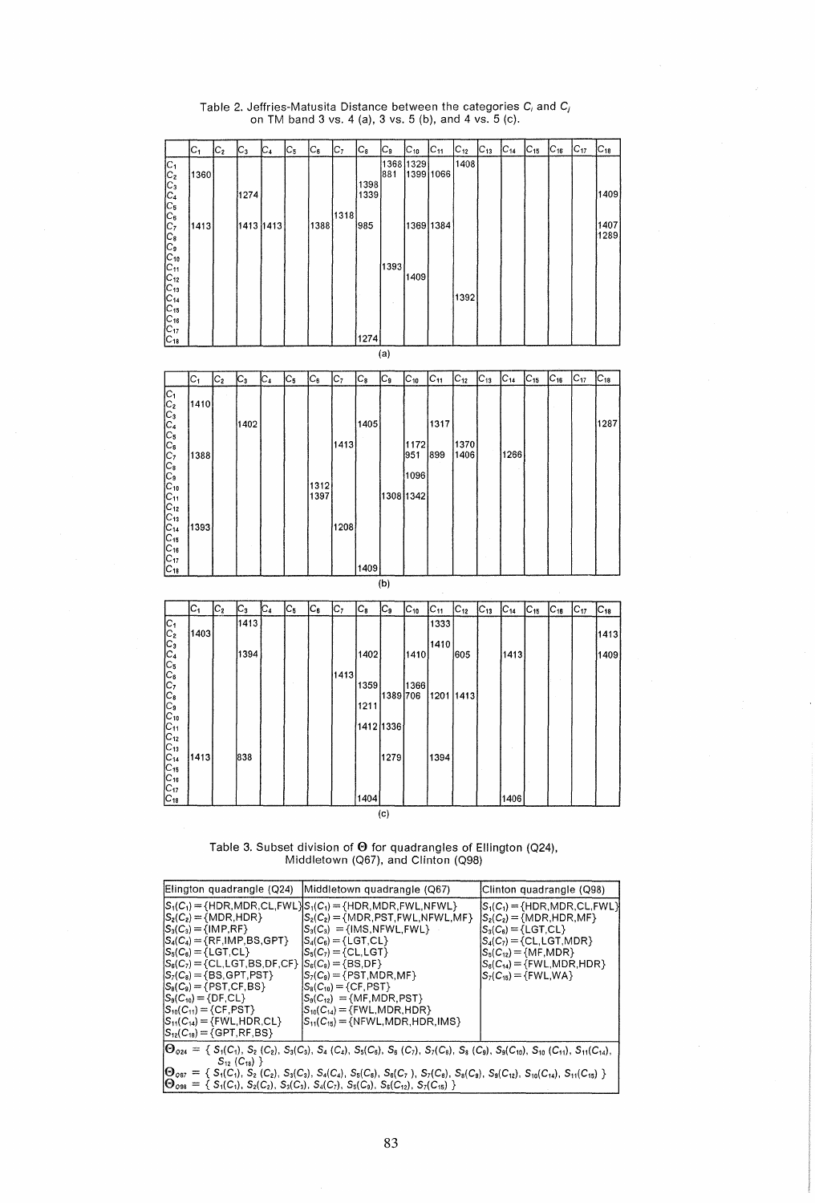| $C_{14}$<br>$C_6$<br>C,<br>$C_{8}$<br>$C_{12}$<br>$C_{13}$<br>$C_{15}$<br>$C_{16}$<br>$C_{17}$<br>$C_{18}$<br>$C_{1}$<br>$C_2$<br>C3<br>C4<br>C5<br>Cg<br>$C_{10}$<br>$C_{11}$<br>1368 1329<br>1408<br>$C_1$<br>$C_2$<br>$C_3$<br>$C_4$<br>$C_5$<br>881<br>1399 1066<br>1360<br>1398<br>1409<br>1339<br>1274<br>1318<br>$C_6$ <sub>C<sub>7</sub></sub><br>1388<br>1407<br>985<br>1369 1384<br>1413<br>1413 1413<br>1289<br>$C_{10}$<br>$ c_{11} $<br>1393<br>1409<br>$C_{12}$<br>$C_{13}$<br>1392<br>$\mathsf{C}_{\mathsf{14}}$<br>$C_{15}$<br>$C_{16}$<br>$C_{17}$<br>1274<br>$C_{18}$<br>(a)<br>$C_4$<br>$C_{5}$<br>$\mathsf{C}_\mathsf{6}$<br>C7<br>${\tt C_8}$<br>$C_{10}$<br>$C_{11}$<br>$C_{12}$<br>$C_{13}$<br>C14<br>$C_{16}$<br>C17<br>$\mathsf{C}_{\mathtt{18}}$<br>$C_{1}$<br>C3<br>C,<br>$C_{15}$<br>$\mathtt{C}_2$<br>C <sub>1</sub> C <sub>2</sub><br>C <sub>1</sub> C <sub>2</sub><br>C <sub>1</sub> C <sub>2</sub><br>C <sub>1</sub><br>1410<br>1287<br>1402<br>1405<br>1317<br>1413<br>1172<br>1370<br>1266<br>1388<br>899<br>1406<br>951<br>1096<br>1312<br>1397<br>1308 1342<br>$C_{11}$<br>$C_{12}$<br>1208<br>1393<br>$C_{15}$<br>$C_{16}$<br>1409<br>(b)<br>$C_{1}$<br>C,<br>$\mathsf{C}_6$<br>C2<br>$\mathtt{C}_3$<br>$C_4$<br>C,<br>$\mathtt{C}_{8}$<br>C,<br>$C_{12}$<br>$C_{13}$<br>$C_{14}$<br>$C_{10}$<br>$C_{11}$<br>$C_{15}$<br>$C_{18}$<br>$C_{17}$<br>$C_{18}$<br><b>UCCUCUCUCU</b><br>1413<br>1333<br>1403<br>1413<br>1410<br>1394<br>1402<br>1410<br>605<br>1413<br>1409<br>1413<br>1359<br>1366<br>1389 706<br>1201 1413<br>1211<br>$C_{10}$<br>1412 1336<br>$C_{11}$<br>1413<br>838<br>1394<br>$C_{14}$<br>1279<br>$C_{15}$<br>IC <sub>17</sub><br>1404<br>1406<br>$C_{18}$<br>(c) |            |  |  |  |  |  |  |  |  |  |
|------------------------------------------------------------------------------------------------------------------------------------------------------------------------------------------------------------------------------------------------------------------------------------------------------------------------------------------------------------------------------------------------------------------------------------------------------------------------------------------------------------------------------------------------------------------------------------------------------------------------------------------------------------------------------------------------------------------------------------------------------------------------------------------------------------------------------------------------------------------------------------------------------------------------------------------------------------------------------------------------------------------------------------------------------------------------------------------------------------------------------------------------------------------------------------------------------------------------------------------------------------------------------------------------------------------------------------------------------------------------------------------------------------------------------------------------------------------------------------------------------------------------------------------------------------------------------------------------------------------------------------------------------------------------------------------------------------------------|------------|--|--|--|--|--|--|--|--|--|
|                                                                                                                                                                                                                                                                                                                                                                                                                                                                                                                                                                                                                                                                                                                                                                                                                                                                                                                                                                                                                                                                                                                                                                                                                                                                                                                                                                                                                                                                                                                                                                                                                                                                                                                        |            |  |  |  |  |  |  |  |  |  |
|                                                                                                                                                                                                                                                                                                                                                                                                                                                                                                                                                                                                                                                                                                                                                                                                                                                                                                                                                                                                                                                                                                                                                                                                                                                                                                                                                                                                                                                                                                                                                                                                                                                                                                                        |            |  |  |  |  |  |  |  |  |  |
|                                                                                                                                                                                                                                                                                                                                                                                                                                                                                                                                                                                                                                                                                                                                                                                                                                                                                                                                                                                                                                                                                                                                                                                                                                                                                                                                                                                                                                                                                                                                                                                                                                                                                                                        |            |  |  |  |  |  |  |  |  |  |
|                                                                                                                                                                                                                                                                                                                                                                                                                                                                                                                                                                                                                                                                                                                                                                                                                                                                                                                                                                                                                                                                                                                                                                                                                                                                                                                                                                                                                                                                                                                                                                                                                                                                                                                        |            |  |  |  |  |  |  |  |  |  |
|                                                                                                                                                                                                                                                                                                                                                                                                                                                                                                                                                                                                                                                                                                                                                                                                                                                                                                                                                                                                                                                                                                                                                                                                                                                                                                                                                                                                                                                                                                                                                                                                                                                                                                                        |            |  |  |  |  |  |  |  |  |  |
|                                                                                                                                                                                                                                                                                                                                                                                                                                                                                                                                                                                                                                                                                                                                                                                                                                                                                                                                                                                                                                                                                                                                                                                                                                                                                                                                                                                                                                                                                                                                                                                                                                                                                                                        |            |  |  |  |  |  |  |  |  |  |
|                                                                                                                                                                                                                                                                                                                                                                                                                                                                                                                                                                                                                                                                                                                                                                                                                                                                                                                                                                                                                                                                                                                                                                                                                                                                                                                                                                                                                                                                                                                                                                                                                                                                                                                        | $C_{8}$    |  |  |  |  |  |  |  |  |  |
|                                                                                                                                                                                                                                                                                                                                                                                                                                                                                                                                                                                                                                                                                                                                                                                                                                                                                                                                                                                                                                                                                                                                                                                                                                                                                                                                                                                                                                                                                                                                                                                                                                                                                                                        | C,         |  |  |  |  |  |  |  |  |  |
|                                                                                                                                                                                                                                                                                                                                                                                                                                                                                                                                                                                                                                                                                                                                                                                                                                                                                                                                                                                                                                                                                                                                                                                                                                                                                                                                                                                                                                                                                                                                                                                                                                                                                                                        |            |  |  |  |  |  |  |  |  |  |
|                                                                                                                                                                                                                                                                                                                                                                                                                                                                                                                                                                                                                                                                                                                                                                                                                                                                                                                                                                                                                                                                                                                                                                                                                                                                                                                                                                                                                                                                                                                                                                                                                                                                                                                        |            |  |  |  |  |  |  |  |  |  |
|                                                                                                                                                                                                                                                                                                                                                                                                                                                                                                                                                                                                                                                                                                                                                                                                                                                                                                                                                                                                                                                                                                                                                                                                                                                                                                                                                                                                                                                                                                                                                                                                                                                                                                                        |            |  |  |  |  |  |  |  |  |  |
|                                                                                                                                                                                                                                                                                                                                                                                                                                                                                                                                                                                                                                                                                                                                                                                                                                                                                                                                                                                                                                                                                                                                                                                                                                                                                                                                                                                                                                                                                                                                                                                                                                                                                                                        |            |  |  |  |  |  |  |  |  |  |
|                                                                                                                                                                                                                                                                                                                                                                                                                                                                                                                                                                                                                                                                                                                                                                                                                                                                                                                                                                                                                                                                                                                                                                                                                                                                                                                                                                                                                                                                                                                                                                                                                                                                                                                        |            |  |  |  |  |  |  |  |  |  |
|                                                                                                                                                                                                                                                                                                                                                                                                                                                                                                                                                                                                                                                                                                                                                                                                                                                                                                                                                                                                                                                                                                                                                                                                                                                                                                                                                                                                                                                                                                                                                                                                                                                                                                                        |            |  |  |  |  |  |  |  |  |  |
|                                                                                                                                                                                                                                                                                                                                                                                                                                                                                                                                                                                                                                                                                                                                                                                                                                                                                                                                                                                                                                                                                                                                                                                                                                                                                                                                                                                                                                                                                                                                                                                                                                                                                                                        |            |  |  |  |  |  |  |  |  |  |
|                                                                                                                                                                                                                                                                                                                                                                                                                                                                                                                                                                                                                                                                                                                                                                                                                                                                                                                                                                                                                                                                                                                                                                                                                                                                                                                                                                                                                                                                                                                                                                                                                                                                                                                        |            |  |  |  |  |  |  |  |  |  |
|                                                                                                                                                                                                                                                                                                                                                                                                                                                                                                                                                                                                                                                                                                                                                                                                                                                                                                                                                                                                                                                                                                                                                                                                                                                                                                                                                                                                                                                                                                                                                                                                                                                                                                                        |            |  |  |  |  |  |  |  |  |  |
|                                                                                                                                                                                                                                                                                                                                                                                                                                                                                                                                                                                                                                                                                                                                                                                                                                                                                                                                                                                                                                                                                                                                                                                                                                                                                                                                                                                                                                                                                                                                                                                                                                                                                                                        |            |  |  |  |  |  |  |  |  |  |
|                                                                                                                                                                                                                                                                                                                                                                                                                                                                                                                                                                                                                                                                                                                                                                                                                                                                                                                                                                                                                                                                                                                                                                                                                                                                                                                                                                                                                                                                                                                                                                                                                                                                                                                        |            |  |  |  |  |  |  |  |  |  |
|                                                                                                                                                                                                                                                                                                                                                                                                                                                                                                                                                                                                                                                                                                                                                                                                                                                                                                                                                                                                                                                                                                                                                                                                                                                                                                                                                                                                                                                                                                                                                                                                                                                                                                                        |            |  |  |  |  |  |  |  |  |  |
|                                                                                                                                                                                                                                                                                                                                                                                                                                                                                                                                                                                                                                                                                                                                                                                                                                                                                                                                                                                                                                                                                                                                                                                                                                                                                                                                                                                                                                                                                                                                                                                                                                                                                                                        |            |  |  |  |  |  |  |  |  |  |
|                                                                                                                                                                                                                                                                                                                                                                                                                                                                                                                                                                                                                                                                                                                                                                                                                                                                                                                                                                                                                                                                                                                                                                                                                                                                                                                                                                                                                                                                                                                                                                                                                                                                                                                        |            |  |  |  |  |  |  |  |  |  |
|                                                                                                                                                                                                                                                                                                                                                                                                                                                                                                                                                                                                                                                                                                                                                                                                                                                                                                                                                                                                                                                                                                                                                                                                                                                                                                                                                                                                                                                                                                                                                                                                                                                                                                                        |            |  |  |  |  |  |  |  |  |  |
|                                                                                                                                                                                                                                                                                                                                                                                                                                                                                                                                                                                                                                                                                                                                                                                                                                                                                                                                                                                                                                                                                                                                                                                                                                                                                                                                                                                                                                                                                                                                                                                                                                                                                                                        |            |  |  |  |  |  |  |  |  |  |
|                                                                                                                                                                                                                                                                                                                                                                                                                                                                                                                                                                                                                                                                                                                                                                                                                                                                                                                                                                                                                                                                                                                                                                                                                                                                                                                                                                                                                                                                                                                                                                                                                                                                                                                        |            |  |  |  |  |  |  |  |  |  |
|                                                                                                                                                                                                                                                                                                                                                                                                                                                                                                                                                                                                                                                                                                                                                                                                                                                                                                                                                                                                                                                                                                                                                                                                                                                                                                                                                                                                                                                                                                                                                                                                                                                                                                                        | $C_{13}$   |  |  |  |  |  |  |  |  |  |
|                                                                                                                                                                                                                                                                                                                                                                                                                                                                                                                                                                                                                                                                                                                                                                                                                                                                                                                                                                                                                                                                                                                                                                                                                                                                                                                                                                                                                                                                                                                                                                                                                                                                                                                        | $C_{14}$   |  |  |  |  |  |  |  |  |  |
|                                                                                                                                                                                                                                                                                                                                                                                                                                                                                                                                                                                                                                                                                                                                                                                                                                                                                                                                                                                                                                                                                                                                                                                                                                                                                                                                                                                                                                                                                                                                                                                                                                                                                                                        |            |  |  |  |  |  |  |  |  |  |
|                                                                                                                                                                                                                                                                                                                                                                                                                                                                                                                                                                                                                                                                                                                                                                                                                                                                                                                                                                                                                                                                                                                                                                                                                                                                                                                                                                                                                                                                                                                                                                                                                                                                                                                        | $C_{17}$   |  |  |  |  |  |  |  |  |  |
|                                                                                                                                                                                                                                                                                                                                                                                                                                                                                                                                                                                                                                                                                                                                                                                                                                                                                                                                                                                                                                                                                                                                                                                                                                                                                                                                                                                                                                                                                                                                                                                                                                                                                                                        | $ C_{18} $ |  |  |  |  |  |  |  |  |  |
|                                                                                                                                                                                                                                                                                                                                                                                                                                                                                                                                                                                                                                                                                                                                                                                                                                                                                                                                                                                                                                                                                                                                                                                                                                                                                                                                                                                                                                                                                                                                                                                                                                                                                                                        |            |  |  |  |  |  |  |  |  |  |
|                                                                                                                                                                                                                                                                                                                                                                                                                                                                                                                                                                                                                                                                                                                                                                                                                                                                                                                                                                                                                                                                                                                                                                                                                                                                                                                                                                                                                                                                                                                                                                                                                                                                                                                        |            |  |  |  |  |  |  |  |  |  |
|                                                                                                                                                                                                                                                                                                                                                                                                                                                                                                                                                                                                                                                                                                                                                                                                                                                                                                                                                                                                                                                                                                                                                                                                                                                                                                                                                                                                                                                                                                                                                                                                                                                                                                                        |            |  |  |  |  |  |  |  |  |  |
|                                                                                                                                                                                                                                                                                                                                                                                                                                                                                                                                                                                                                                                                                                                                                                                                                                                                                                                                                                                                                                                                                                                                                                                                                                                                                                                                                                                                                                                                                                                                                                                                                                                                                                                        |            |  |  |  |  |  |  |  |  |  |
|                                                                                                                                                                                                                                                                                                                                                                                                                                                                                                                                                                                                                                                                                                                                                                                                                                                                                                                                                                                                                                                                                                                                                                                                                                                                                                                                                                                                                                                                                                                                                                                                                                                                                                                        |            |  |  |  |  |  |  |  |  |  |
|                                                                                                                                                                                                                                                                                                                                                                                                                                                                                                                                                                                                                                                                                                                                                                                                                                                                                                                                                                                                                                                                                                                                                                                                                                                                                                                                                                                                                                                                                                                                                                                                                                                                                                                        |            |  |  |  |  |  |  |  |  |  |
|                                                                                                                                                                                                                                                                                                                                                                                                                                                                                                                                                                                                                                                                                                                                                                                                                                                                                                                                                                                                                                                                                                                                                                                                                                                                                                                                                                                                                                                                                                                                                                                                                                                                                                                        |            |  |  |  |  |  |  |  |  |  |
|                                                                                                                                                                                                                                                                                                                                                                                                                                                                                                                                                                                                                                                                                                                                                                                                                                                                                                                                                                                                                                                                                                                                                                                                                                                                                                                                                                                                                                                                                                                                                                                                                                                                                                                        |            |  |  |  |  |  |  |  |  |  |
|                                                                                                                                                                                                                                                                                                                                                                                                                                                                                                                                                                                                                                                                                                                                                                                                                                                                                                                                                                                                                                                                                                                                                                                                                                                                                                                                                                                                                                                                                                                                                                                                                                                                                                                        |            |  |  |  |  |  |  |  |  |  |
|                                                                                                                                                                                                                                                                                                                                                                                                                                                                                                                                                                                                                                                                                                                                                                                                                                                                                                                                                                                                                                                                                                                                                                                                                                                                                                                                                                                                                                                                                                                                                                                                                                                                                                                        |            |  |  |  |  |  |  |  |  |  |
|                                                                                                                                                                                                                                                                                                                                                                                                                                                                                                                                                                                                                                                                                                                                                                                                                                                                                                                                                                                                                                                                                                                                                                                                                                                                                                                                                                                                                                                                                                                                                                                                                                                                                                                        | $C_{12}$   |  |  |  |  |  |  |  |  |  |
|                                                                                                                                                                                                                                                                                                                                                                                                                                                                                                                                                                                                                                                                                                                                                                                                                                                                                                                                                                                                                                                                                                                                                                                                                                                                                                                                                                                                                                                                                                                                                                                                                                                                                                                        | $C_{13}$   |  |  |  |  |  |  |  |  |  |
|                                                                                                                                                                                                                                                                                                                                                                                                                                                                                                                                                                                                                                                                                                                                                                                                                                                                                                                                                                                                                                                                                                                                                                                                                                                                                                                                                                                                                                                                                                                                                                                                                                                                                                                        |            |  |  |  |  |  |  |  |  |  |
|                                                                                                                                                                                                                                                                                                                                                                                                                                                                                                                                                                                                                                                                                                                                                                                                                                                                                                                                                                                                                                                                                                                                                                                                                                                                                                                                                                                                                                                                                                                                                                                                                                                                                                                        | $C_{16}$   |  |  |  |  |  |  |  |  |  |
|                                                                                                                                                                                                                                                                                                                                                                                                                                                                                                                                                                                                                                                                                                                                                                                                                                                                                                                                                                                                                                                                                                                                                                                                                                                                                                                                                                                                                                                                                                                                                                                                                                                                                                                        |            |  |  |  |  |  |  |  |  |  |
|                                                                                                                                                                                                                                                                                                                                                                                                                                                                                                                                                                                                                                                                                                                                                                                                                                                                                                                                                                                                                                                                                                                                                                                                                                                                                                                                                                                                                                                                                                                                                                                                                                                                                                                        |            |  |  |  |  |  |  |  |  |  |

Table 2. Jeffries-Matusita Distance between the categories C<sub>i</sub> and C<sub>i</sub> on TM band 3 vs. 4 (a), 3 vs. 5 (b), and 4 vs. 5 (c).

Table 3. Subset division of  $\Theta$  for quadrangles of Ellington (Q24), Middletown (067), and Clinton (098)

| Elington quadrangle (Q24)                                                                                                                                                                                                                                                                                                                                                                                                                                                                         | Middletown quadrangle (Q67)                                                                                                                                                                                                                                                                                                                                                                                                                                                                                        | Clinton quadrangle (Q98)                                                                                                                                                                                                                                                                                        |  |  |  |  |
|---------------------------------------------------------------------------------------------------------------------------------------------------------------------------------------------------------------------------------------------------------------------------------------------------------------------------------------------------------------------------------------------------------------------------------------------------------------------------------------------------|--------------------------------------------------------------------------------------------------------------------------------------------------------------------------------------------------------------------------------------------------------------------------------------------------------------------------------------------------------------------------------------------------------------------------------------------------------------------------------------------------------------------|-----------------------------------------------------------------------------------------------------------------------------------------------------------------------------------------------------------------------------------------------------------------------------------------------------------------|--|--|--|--|
| $ S_2(C_2)=\{MDR, HDR\}$<br>$S_3(C_3) = \{IMP, RF\}$<br>$S_4(C_4) = \{RF,IMP, BS, GPT\}$<br>$\left\vert S_{5}(C_{6})=\left\{ \text{LGT,CL}\right\} \right\vert$<br>$ S_6(C_7)=$ {CL, LGT, BS, DF, CF} $ S_6(C_8)=$ {BS, DF}<br>$\mathcal{S}_7(\mathcal{C}_8) = \{\mathsf{BS},\mathsf{GPT},\mathsf{PST}\}$<br>$ S_8(C_9) =  $ PST,CF,BS $\rangle$<br>$ S_9(C_{10}) = \{DF, CL\}$<br>$ S_{10}(C_{11}) = \{CF, PST\}$<br>$ S_{11}(C_{14}) = \{FWL, HDR, CL\}$<br>$ S_{12}(C_{18}) = \{GPT, RF, BS\}$ | $\mathsf{S}_1(C_1) = \{\mathsf{HDR}, \mathsf{MDR}, \mathsf{CL}, \mathsf{FWL}\} \mathsf{S}_1(C_1) = \{\mathsf{HDR}, \mathsf{MDR}, \mathsf{FWL}, \mathsf{NFWL}\}$<br>$ S_2(C_2) = \{MDR, PST, FWL, NFWL, MF\}$<br>$ S_3(C_3)  = \{ MS, NFWL, FWL\}$<br>$ S_4(C_6)= LGT,CL\rangle$<br>$ S_5(C_7)=\{CL, LGT\}$<br>$ S_7(C_9) = \{PST, MDR, MF\}$<br>$ S_8(C_{10}) = \{CF, PST\}$<br>$ S_9(C_{12})  = \{MF, MDR, PST\}$<br>$S_{10}(C_{14}) = \{FWL, MDR, HDR\}$<br>$\mathcal{S}_{11}(C_{15}) = \{NFWL, MDR, HDR, IMS\}$ | $\mathsf{IS}_1(\mathsf{C}_1) = \{\mathsf{HDR}, \mathsf{MDR}, \mathsf{CL}, \mathsf{FWL}\}$<br>$ S_2(C_2) = \{MDR, HDR, MF\}$<br>$ S_3(C_6)=\{ \text{LGT,CL} \}$<br>$\mathcal{S}_4(C_7) = \{CL, LGT, MDR\}$<br>$ S_5(C_{12}) = \{MF, MDR\}$<br>$ S_6(C_{14}) = \{FWL, MDR, HDR\}$<br>$ S_7(C_{15}) = \{FWL, WA\}$ |  |  |  |  |
| $\Theta_{o24} = \{ S_1(C_1), S_2(C_2), S_3(C_3), S_4(C_4), S_5(C_6), S_6(C_7), S_7(C_8), S_8(C_9), S_9(C_{10}), S_{10}(C_{11}), S_{11}(C_{14}), S_{12}(C_{15}), S_{16}(C_{16}), S_{17}(C_{17}), S_{18}(C_{18}), S_{19}(C_{19}), S_{10}(C_{19}), S_{11}(C_{19}), S_{12}(C_{10}), S_{13}(C_{11}), S_{14}(C_{12}), S_{15}(C_{13}), S_{16}(C_{15}), S_{17}(C$<br>$S_{12}$ (C <sub>18</sub> ) }                                                                                                        |                                                                                                                                                                                                                                                                                                                                                                                                                                                                                                                    |                                                                                                                                                                                                                                                                                                                 |  |  |  |  |
| $\Theta_{087} = \{S_1(C_1), S_2(C_2), S_3(C_3), S_4(C_4), S_5(C_6), S_6(C_7), S_7(C_8), S_8(C_9), S_9(C_{12}), S_{10}(C_{14}), S_{11}(C_{15})\}$<br>$ \Theta_{\text{0.98}} = \{ S_1(C_1), S_2(C_2), S_3(C_3), S_4(C_7), S_5(C_9), S_6(C_{12}), S_7(C_{15}) \}$                                                                                                                                                                                                                                    |                                                                                                                                                                                                                                                                                                                                                                                                                                                                                                                    |                                                                                                                                                                                                                                                                                                                 |  |  |  |  |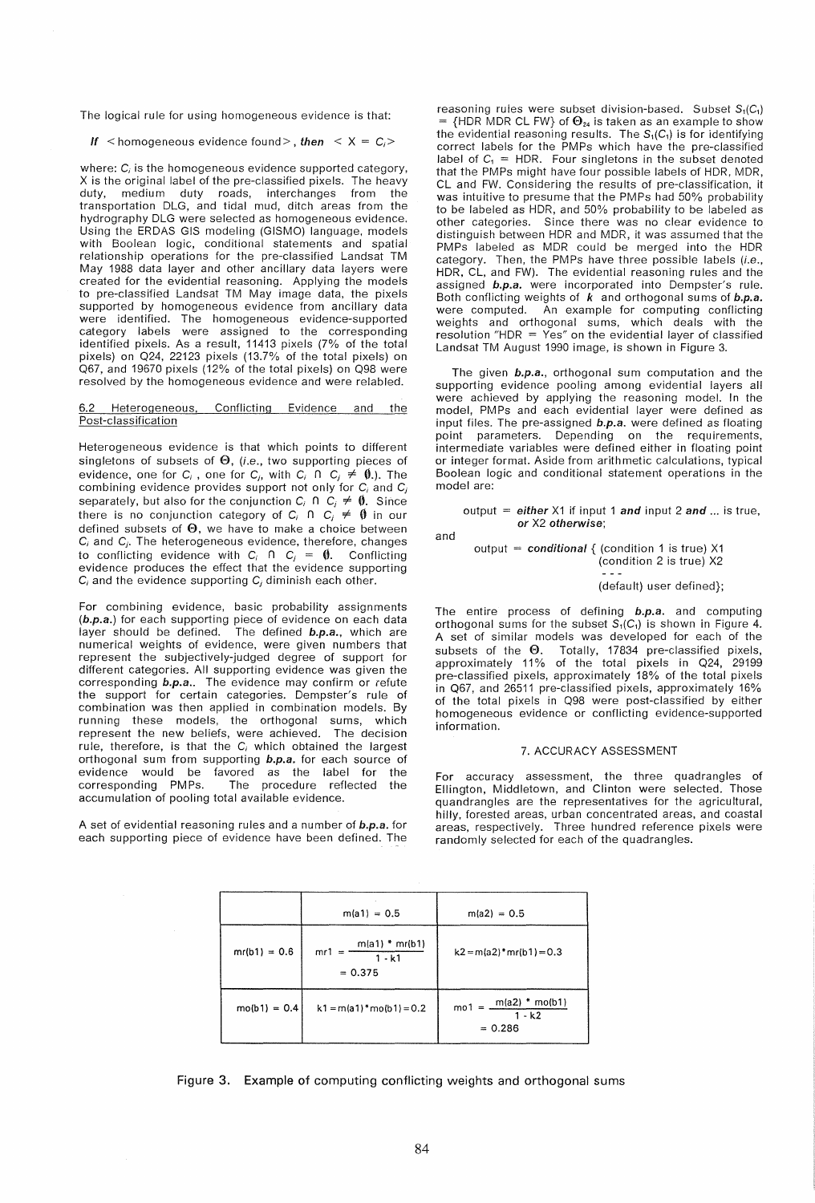The logical rule for using homogeneous evidence is that:

If  $\leq$  homogeneous evidence found  $\geq$ , then  $\leq$   $X = C_i$ 

where:  $C_i$  is the homogeneous evidence supported category, X is the original label of the pre-classified pixels. The heavy duty, medium duty roads, interchanges from the transportation DLG, and tidal mud, ditch areas from the hydrography DLG were selected as homogeneous evidence. Using the ERDAS GIS modeling (GISMO) language, models with Boolean logic, conditional statements and spatial relationship operations for the pre-classified Landsat TM May 1988 data layer and other ancillary data layers were created for the evidential reasoning. Applying the models to pre-classified Landsat TM May image data, the pixels supported by homogeneous evidence from ancillary data were identified. The homogeneous evidence-supported category labels were assigned to the corresponding identified pixels. As a result, 11413 pixels (7% of the total pixels) on 024, 22123 pixels (13.7% of the total pixels) on 067, and 19670 pixels (12% of the total pixels) on 098 were resolved by the homogeneous evidence and were relabled.

#### Heterogeneous, Conflicting Evidence and the Post-classification

Heterogeneous evidence is that which points to different singletons of subsets of  $\Theta$ , (i.e., two supporting pieces of evidence, one for C<sub>i</sub>, one for C<sub>i</sub>, with C<sub>i</sub> n C<sub>i</sub>  $\neq$  0.). The combining evidence provides support not only for *C*j and *Cj*  separately, but also for the conjunction  $C_i \cap C_j \neq \emptyset$ . Since there is no conjunction category of  $C_i \cap C_j \neq \emptyset$  in our defined subsets of  $\Theta$ , we have to make a choice between *C*j and *Cj •* The heterogeneous evidence, therefore, changes to conflicting evidence with  $C_i$  n  $C_j = \emptyset$ . Conflicting evidence produces the effect that the evidence supporting *C*j and the evidence supporting *Cj* diminish each other.

For combining evidence, basic probability assignments (b.p.a.) for each supporting piece of evidence on each data layer should be defined. The defined b.p.a., which are numerical weights of evidence, were given numbers that represent the subjectively-judged degree of support for different categories. All supporting evidence was given the corresponding b.p.a.. The evidence may confirm or refute the support for certain categories. Dempster's rule of combination was then applied in combination models. By running these models, the orthogonal sums, which represent the new beliefs, were achieved. The decision rule, therefore, is that the  $C_i$  which obtained the largest orthogonal sum from supporting b.p.a. for each source of evidence would be favored as the label for the corresponding PMPs. The procedure reflected the accumulation of pooling total available evidence.

A set of evidential reasoning rules and a number of b.p.a. for each supporting piece of evidence have been defined. The

reasoning rules were subset division-based. Subset  $S_1(C_1)$ = {HDR MDR CL FW} of  $\Theta_{24}$  is taken as an example to show the evidential reasoning results. The  $S_1(C_1)$  is for identifying correct labels for the PMPs which have the pre-classified label of  $C_1$  = HDR. Four singletons in the subset denoted that the PMPs might have four possible labels of HDR, MDR, Cl and FW. Considering the results of pre-classification, it was intuitive to presume that the PMPs had 50% probability to be labeled as HDR, and 50% probability to be labeled as other categories. Since there was no clear evidence to distinguish between HDR and MDR, it was assumed that the PMPs labeled as MDR could be merged into the HDR category. Then, the PMPs have three possible labels (i.e., HDR, CL, and FW). The evidential reasoning rules and the assigned b.p.a. were incorporated into Dempster's rule. Both conflicting weights of  $k$  and orthogonal sums of  $b.p.a.$ were computed. An example for computing conflicting weights and orthogonal sums, which deals with the resolution "HDR = Yes" on the evidential layer of classified landsat TM August 1990 image, is shown in Figure 3.

The given **b.p.a.**, orthogonal sum computation and the supporting evidence pooling among evidential layers all were achieved by applying the reasoning model. In the model, PMPs and each evidential layer were defined as input files. The pre-assigned  **were defined as floating** point parameters. Depending on the requirements, intermediate variables were defined either in floating point or integer format. Aside from arithmetic calculations, typical Boolean logic and conditional statement operations in the model are:

output = either Xi if input 1 and input 2 and ... is true, or X2 otherwise;

and

output = conditional  $\{$  (condition 1 is true) X1 (condition 2 is true) X2

(default) user defined};

The entire process of defining b.p.a. and computing orthogonal sums for the subset  $S_1(C_1)$  is shown in Figure 4. A set of similar models was developed for each of the subsets of the  $\Theta$ . Totally, 17834 pre-classified pixels, approximately 11% of the total pixels in Q24, 29199 pre-classified pixels, approximately 18% of the total pixels in 067, and 26511 pre-classified pixels, approximately 16% of the total pixels in 098 were post-classified by either homogeneous evidence or conflicting evidence-supported information.

### 7. ACCURACY ASSESSMENT

For accuracy assessment, the three quadrangles of Ellington, Middletown, and Clinton were selected. Those quandrangles are the representatives for the agricultural, hilly, forested areas, urban concentrated areas, and coastal areas, respectively. Three hundred reference pixels were randomly selected for each of the quadrangles.

|                | $m(a1) = 0.5$                                                       | $m(a2) = 0.5$                                          |
|----------------|---------------------------------------------------------------------|--------------------------------------------------------|
| $mr(b1) = 0.6$ | $m(a1) * mr(b1)$<br>$mr1 =$<br>$\overline{1 \cdot k1}$<br>$= 0.375$ | $k2 = m(a2) * mr(b1) = 0.3$                            |
| $mo(b1) = 0.4$ | $k1 = m(a1) * m_0(b1) = 0.2$                                        | $mol = \frac{m(a2) * m(61)}{2}$<br>1 - k2<br>$= 0.286$ |

Figure 3. Example of computing conflicting weights and orthogonal sums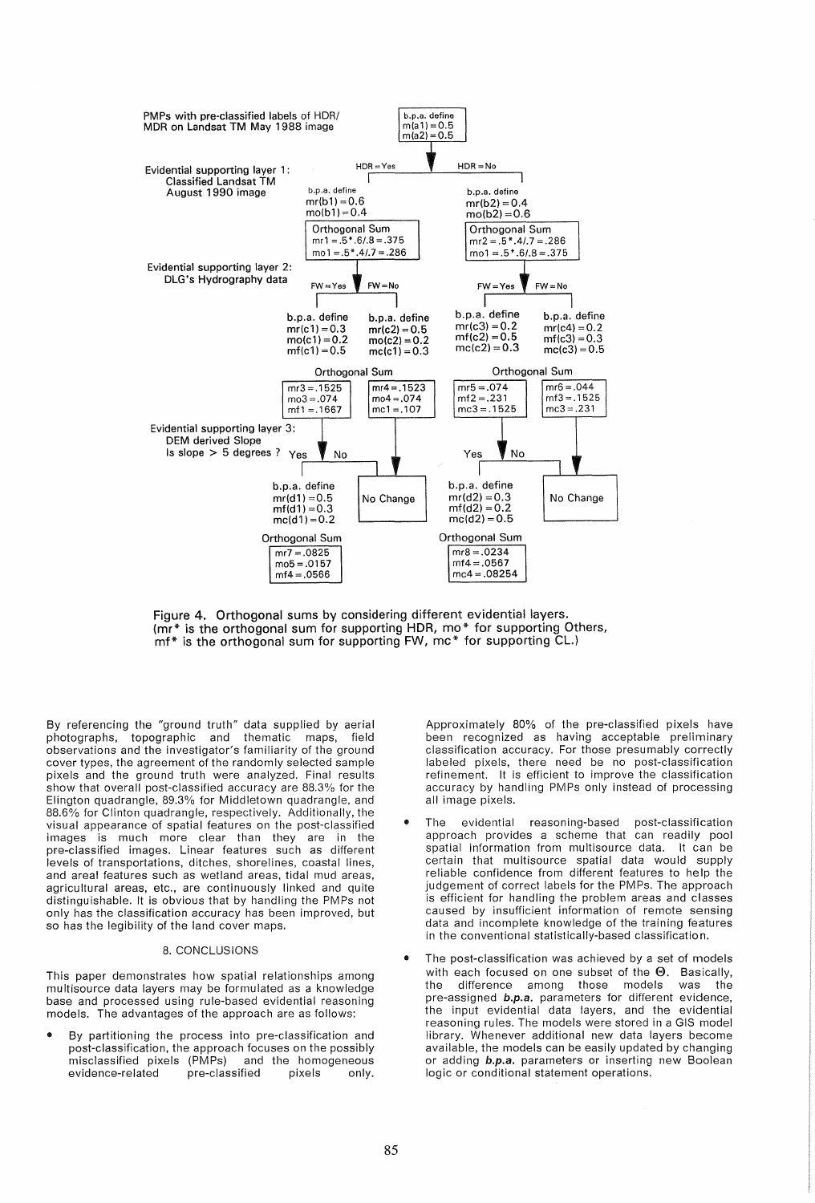

Figure 4. Orthogonal sums by considering different evidential layers. (mr\* is the orthogonal sum for supporting HDR, mo\* for supporting Others, mf\* is the orthogonal sum for supporting FW, mc\* for supporting CL.)

By referencing the "ground truth" data supplied by aerial photographs, topographic and thematic maps, field observations and the investigator's familiarity of the ground cover types, the agreement of the randomly selected sample pixels and the ground truth were analyzed. Final results show that overall post-classified accuracy are 88.3% for the Elington quadrangle, 89.3% for Middletown quadrangle, and 88.6% for Clinton quadrangle, respectively. Additionally, the visual appearance of spatial features on the post-classified images is much more clear than they are in the pre-classified images. Linear features such as different levels of transportations, ditches, shorelines, coastal lines, and areal features such as wetland areas, tidal mud areas, agricultural areas, etc., are continuously linked and quite distinguishable. It is obvious that by handling the PMPs not only has the classification accuracy has been improved, but so has the legibility of the land cover maps.

# 8. CONCLUSIONS

This paper demonstrates how spatial relationships among multisource data layers may be formulated as a knowledge base and processed using rule-based evidential reasoning models. The advantages of the approach are as follows:

• By partitioning the process into pre-classification and post-classification, the approach focuses on the possibly misclassified pixels (PMPs) and the homogeneous<br>evidence-related pre-classified pixels only. evidence-related pre-classified pixels only.

Approximately 80% of the pre-classified pixels have been recognized as having acceptable preliminary classification accuracy. For those presumably correctly labeled pixels, there need be no post-classification refinement. It is efficient to improve the classification accuracy by handling PMPs only instead of processing all image pixels.

- The evidential reasoning-based post-classification approach provides a scheme that can readily pool spatial information from multisource data. It can be certain that multisource spatial data would supply reliable confidence from different features to help the judgement of correct labels for the PMPs. The approach is efficient for handling the problem areas and classes caused by insufficient information of remote sensing data and incomplete knowledge of the training features in the conventional statistically-based classification.
- The post-classification was achieved by a set of models with each focused on one subset of the  $\Theta$ . Basically, the difference among those models was the the difference among those models was the pre-assigned **b.p.a.** parameters for different evidence, the input evidential data layers, and the evidential reasoning rules. The models were stored in a GIS model library. Whenever additional new data layers become available, the models can be easily updated by changing or adding b.p.a. parameters or inserting new Boolean logic or conditional statement operations.